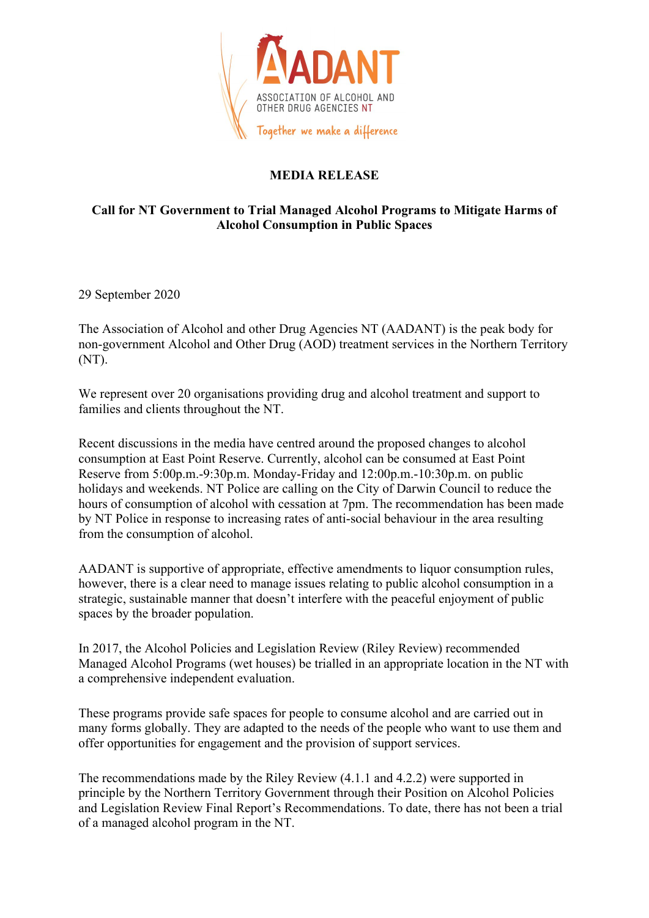

## **MEDIA RELEASE**

## **Call for NT Government to Trial Managed Alcohol Programs to Mitigate Harms of Alcohol Consumption in Public Spaces**

29 September 2020

The Association of Alcohol and other Drug Agencies NT (AADANT) is the peak body for non-government Alcohol and Other Drug (AOD) treatment services in the Northern Territory (NT).

We represent over 20 organisations providing drug and alcohol treatment and support to families and clients throughout the NT.

Recent discussions in the media have centred around the proposed changes to alcohol consumption at East Point Reserve. Currently, alcohol can be consumed at East Point Reserve from 5:00p.m.-9:30p.m. Monday-Friday and 12:00p.m.-10:30p.m. on public holidays and weekends. NT Police are calling on the City of Darwin Council to reduce the hours of consumption of alcohol with cessation at 7pm. The recommendation has been made by NT Police in response to increasing rates of anti-social behaviour in the area resulting from the consumption of alcohol.

AADANT is supportive of appropriate, effective amendments to liquor consumption rules, however, there is a clear need to manage issues relating to public alcohol consumption in a strategic, sustainable manner that doesn't interfere with the peaceful enjoyment of public spaces by the broader population.

In 2017, the Alcohol Policies and Legislation Review (Riley Review) recommended Managed Alcohol Programs (wet houses) be trialled in an appropriate location in the NT with a comprehensive independent evaluation.

These programs provide safe spaces for people to consume alcohol and are carried out in many forms globally. They are adapted to the needs of the people who want to use them and offer opportunities for engagement and the provision of support services.

The recommendations made by the Riley Review (4.1.1 and 4.2.2) were supported in principle by the Northern Territory Government through their Position on Alcohol Policies and Legislation Review Final Report's Recommendations. To date, there has not been a trial of a managed alcohol program in the NT.